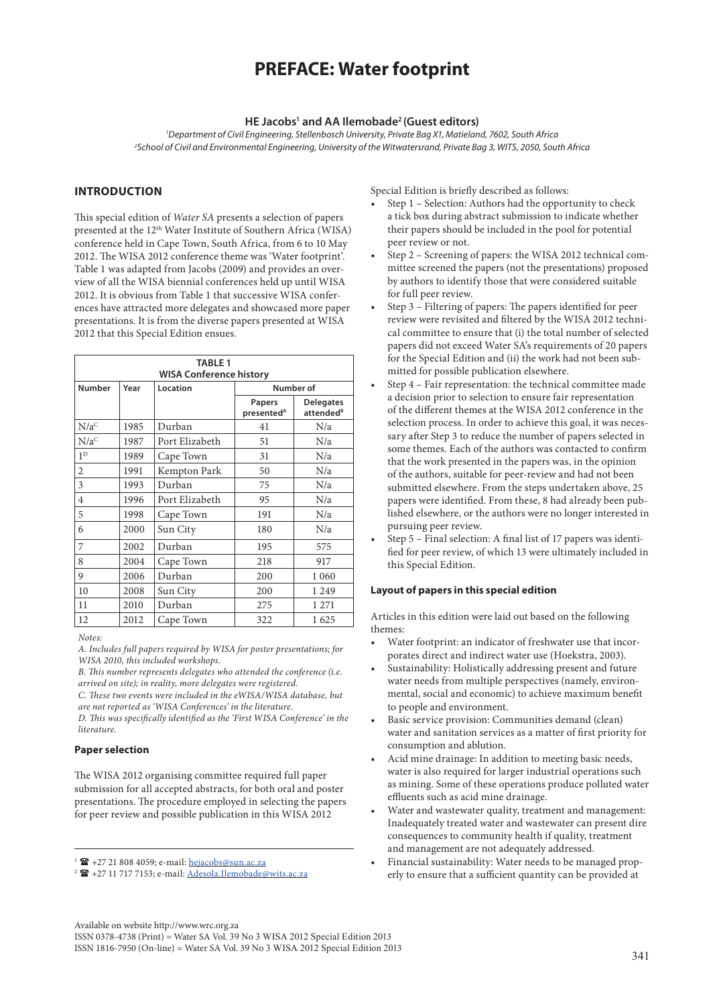# **PREFACE: Water footprint**

### HE Jacobs<sup>1</sup> and AA Ilemobade<sup>2</sup> (Guest editors)

*1 Department of Civil Engineering, Stellenbosch University, Private Bag X1, Matieland, 7602, South Africa 2 School of Civil and Environmental Engineering, University of the Witwatersrand, Private Bag 3, WITS, 2050, South Africa*

### **INTRODUCTION**

This special edition of *Water SA* presents a selection of papers presented at the 12<sup>th</sup> Water Institute of Southern Africa (WISA) conference held in Cape Town, South Africa, from 6 to 10 May 2012. The WISA 2012 conference theme was 'Water footprint'. Table 1 was adapted from Jacobs (2009) and provides an overview of all the WISA biennial conferences held up until WISA 2012. It is obvious from Table 1 that successive WISA conferences have attracted more delegates and showcased more paper presentations. It is from the diverse papers presented at WISA 2012 that this Special Edition ensues.

| <b>TABLE 1</b><br><b>WISA Conference history</b> |      |                |                                  |                                           |
|--------------------------------------------------|------|----------------|----------------------------------|-------------------------------------------|
| <b>Number</b>                                    | Year | Location       | Number of                        |                                           |
|                                                  |      |                | Papers<br>presented <sup>A</sup> | <b>Delegates</b><br>attended <sup>B</sup> |
| $\rm N/a^C$                                      | 1985 | Durban         | 41                               | N/a                                       |
| $N/a^C$                                          | 1987 | Port Elizabeth | 51                               | N/a                                       |
| 1 <sup>D</sup>                                   | 1989 | Cape Town      | 31                               | N/a                                       |
| 2                                                | 1991 | Kempton Park   | 50                               | N/a                                       |
| 3                                                | 1993 | Durban         | 75                               | N/a                                       |
| $\overline{4}$                                   | 1996 | Port Elizabeth | 95                               | N/a                                       |
| 5                                                | 1998 | Cape Town      | 191                              | N/a                                       |
| 6                                                | 2000 | Sun City       | 180                              | N/a                                       |
| 7                                                | 2002 | Durban         | 195                              | 575                                       |
| 8                                                | 2004 | Cape Town      | 218                              | 917                                       |
| 9                                                | 2006 | Durban         | 200                              | 1 0 6 0                                   |
| 10                                               | 2008 | Sun City       | 200                              | 1 2 4 9                                   |
| 11                                               | 2010 | Durban         | 275                              | 1 271                                     |
| 12                                               | 2012 | Cape Town      | 322                              | 1625                                      |

*Notes:*

*A. Includes full papers required by WISA for poster presentations; for WISA 2010, this included workshops.*

*B. This number represents delegates who attended the conference (i.e. arrived on site); in reality, more delegates were registered.*

*C. These two events were included in the eWISA/WISA database, but are not reported as 'WISA Conferences' in the literature.*

*D. This was specifically identified as the 'First WISA Conference' in the literature.*

# **Paper selection**

The WISA 2012 organising committee required full paper submission for all accepted abstracts, for both oral and poster presentations. The procedure employed in selecting the papers for peer review and possible publication in this WISA 2012

Special Edition is briefly described as follows:

- Step 1 Selection: Authors had the opportunity to check a tick box during abstract submission to indicate whether their papers should be included in the pool for potential peer review or not.
- Step 2 Screening of papers: the WISA 2012 technical committee screened the papers (not the presentations) proposed by authors to identify those that were considered suitable for full peer review.
- Step 3 Filtering of papers: The papers identified for peer review were revisited and filtered by the WISA 2012 technical committee to ensure that (i) the total number of selected papers did not exceed Water SA's requirements of 20 papers for the Special Edition and (ii) the work had not been submitted for possible publication elsewhere.
- Step 4 Fair representation: the technical committee made a decision prior to selection to ensure fair representation of the different themes at the WISA 2012 conference in the selection process. In order to achieve this goal, it was necessary after Step 3 to reduce the number of papers selected in some themes. Each of the authors was contacted to confirm that the work presented in the papers was, in the opinion of the authors, suitable for peer-review and had not been submitted elsewhere. From the steps undertaken above, 25 papers were identified. From these, 8 had already been published elsewhere, or the authors were no longer interested in pursuing peer review.
- Step 5 Final selection: A final list of 17 papers was identified for peer review, of which 13 were ultimately included in this Special Edition.

### **Layout of papers in this special edition**

Articles in this edition were laid out based on the following themes:

- Water footprint: an indicator of freshwater use that incorporates direct and indirect water use (Hoekstra, 2003).
- Sustainability: Holistically addressing present and future water needs from multiple perspectives (namely, environmental, social and economic) to achieve maximum benefit to people and environment.
- Basic service provision: Communities demand (clean) water and sanitation services as a matter of first priority for consumption and ablution.
- Acid mine drainage: In addition to meeting basic needs, water is also required for larger industrial operations such as mining. Some of these operations produce polluted water effluents such as acid mine drainage.
- Water and wastewater quality, treatment and management: Inadequately treated water and wastewater can present dire consequences to community health if quality, treatment and management are not adequately addressed.
- Financial sustainability: Water needs to be managed properly to ensure that a sufficient quantity can be provided at

Available on website http://www.wrc.org.za

ISSN 0378-4738 (Print) = Water SA Vol. 39 No 3 WISA 2012 Special Edition 2013 ISSN 1816-7950 (On-line) = Water SA Vol. 39 No 3 WISA 2012 Special Edition 2013

341

 $1 \n\text{ m}$  +27 21 808 4059; e-mail: [hejacobs@sun.ac.za](mailto:hejacobs@sun.ac.za)

<sup>&</sup>lt;sup>2</sup> <sup>2</sup> +27 11 717 7153; e-mail: [Adesola.Ilemobade@wits.ac.za](mailto:Adesola.Ilemobade@wits.ac.za)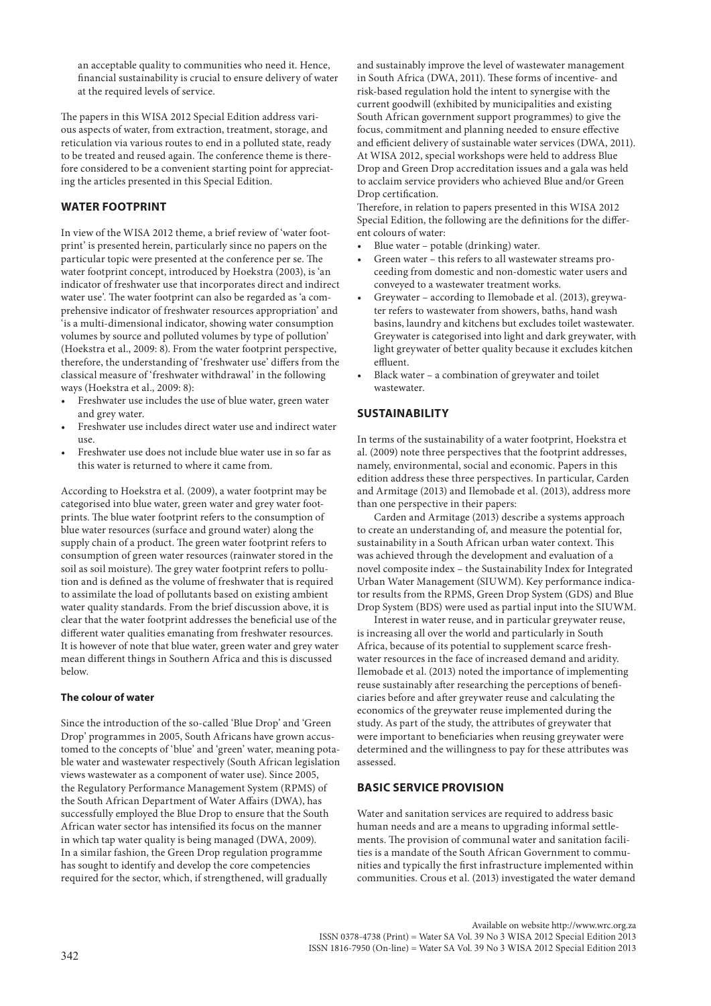an acceptable quality to communities who need it. Hence, financial sustainability is crucial to ensure delivery of water at the required levels of service.

The papers in this WISA 2012 Special Edition address various aspects of water, from extraction, treatment, storage, and reticulation via various routes to end in a polluted state, ready to be treated and reused again. The conference theme is therefore considered to be a convenient starting point for appreciating the articles presented in this Special Edition.

# **WATER FOOTPRINT**

In view of the WISA 2012 theme, a brief review of 'water footprint' is presented herein, particularly since no papers on the particular topic were presented at the conference per se. The water footprint concept, introduced by Hoekstra (2003), is 'an indicator of freshwater use that incorporates direct and indirect water use'. The water footprint can also be regarded as 'a comprehensive indicator of freshwater resources appropriation' and 'is a multi-dimensional indicator, showing water consumption volumes by source and polluted volumes by type of pollution' (Hoekstra et al., 2009: 8). From the water footprint perspective, therefore, the understanding of 'freshwater use' differs from the classical measure of 'freshwater withdrawal' in the following ways (Hoekstra et al., 2009: 8):

- Freshwater use includes the use of blue water, green water and grey water.
- Freshwater use includes direct water use and indirect water use.
- Freshwater use does not include blue water use in so far as this water is returned to where it came from.

According to Hoekstra et al. (2009), a water footprint may be categorised into blue water, green water and grey water footprints. The blue water footprint refers to the consumption of blue water resources (surface and ground water) along the supply chain of a product. The green water footprint refers to consumption of green water resources (rainwater stored in the soil as soil moisture). The grey water footprint refers to pollution and is defined as the volume of freshwater that is required to assimilate the load of pollutants based on existing ambient water quality standards. From the brief discussion above, it is clear that the water footprint addresses the beneficial use of the different water qualities emanating from freshwater resources. It is however of note that blue water, green water and grey water mean different things in Southern Africa and this is discussed below.

#### **The colour of water**

Since the introduction of the so-called 'Blue Drop' and 'Green Drop' programmes in 2005, South Africans have grown accustomed to the concepts of 'blue' and 'green' water, meaning potable water and wastewater respectively (South African legislation views wastewater as a component of water use). Since 2005, the Regulatory Performance Management System (RPMS) of the South African Department of Water Affairs (DWA), has successfully employed the Blue Drop to ensure that the South African water sector has intensified its focus on the manner in which tap water quality is being managed (DWA, 2009). In a similar fashion, the Green Drop regulation programme has sought to identify and develop the core competencies required for the sector, which, if strengthened, will gradually

and sustainably improve the level of wastewater management in South Africa (DWA, 2011). These forms of incentive- and risk-based regulation hold the intent to synergise with the current goodwill (exhibited by municipalities and existing South African government support programmes) to give the focus, commitment and planning needed to ensure effective and efficient delivery of sustainable water services (DWA, 2011). At WISA 2012, special workshops were held to address Blue Drop and Green Drop accreditation issues and a gala was held to acclaim service providers who achieved Blue and/or Green Drop certification.

Therefore, in relation to papers presented in this WISA 2012 Special Edition, the following are the definitions for the different colours of water:

- Blue water potable (drinking) water.
- Green water this refers to all wastewater streams proceeding from domestic and non-domestic water users and conveyed to a wastewater treatment works.
- Greywater according to Ilemobade et al. (2013), greywater refers to wastewater from showers, baths, hand wash basins, laundry and kitchens but excludes toilet wastewater. Greywater is categorised into light and dark greywater, with light greywater of better quality because it excludes kitchen effluent.
- Black water a combination of greywater and toilet wastewater.

# **SUSTAINABILITY**

In terms of the sustainability of a water footprint, Hoekstra et al. (2009) note three perspectives that the footprint addresses, namely, environmental, social and economic. Papers in this edition address these three perspectives. In particular, Carden and Armitage (2013) and Ilemobade et al. (2013), address more than one perspective in their papers:

Carden and Armitage (2013) describe a systems approach to create an understanding of, and measure the potential for, sustainability in a South African urban water context. This was achieved through the development and evaluation of a novel composite index – the Sustainability Index for Integrated Urban Water Management (SIUWM). Key performance indicator results from the RPMS, Green Drop System (GDS) and Blue Drop System (BDS) were used as partial input into the SIUWM.

Interest in water reuse, and in particular greywater reuse, is increasing all over the world and particularly in South Africa, because of its potential to supplement scarce freshwater resources in the face of increased demand and aridity. Ilemobade et al. (2013) noted the importance of implementing reuse sustainably after researching the perceptions of beneficiaries before and after greywater reuse and calculating the economics of the greywater reuse implemented during the study. As part of the study, the attributes of greywater that were important to beneficiaries when reusing greywater were determined and the willingness to pay for these attributes was assessed.

# **BASIC SERVICE PROVISION**

Water and sanitation services are required to address basic human needs and are a means to upgrading informal settlements. The provision of communal water and sanitation facilities is a mandate of the South African Government to communities and typically the first infrastructure implemented within communities. Crous et al. (2013) investigated the water demand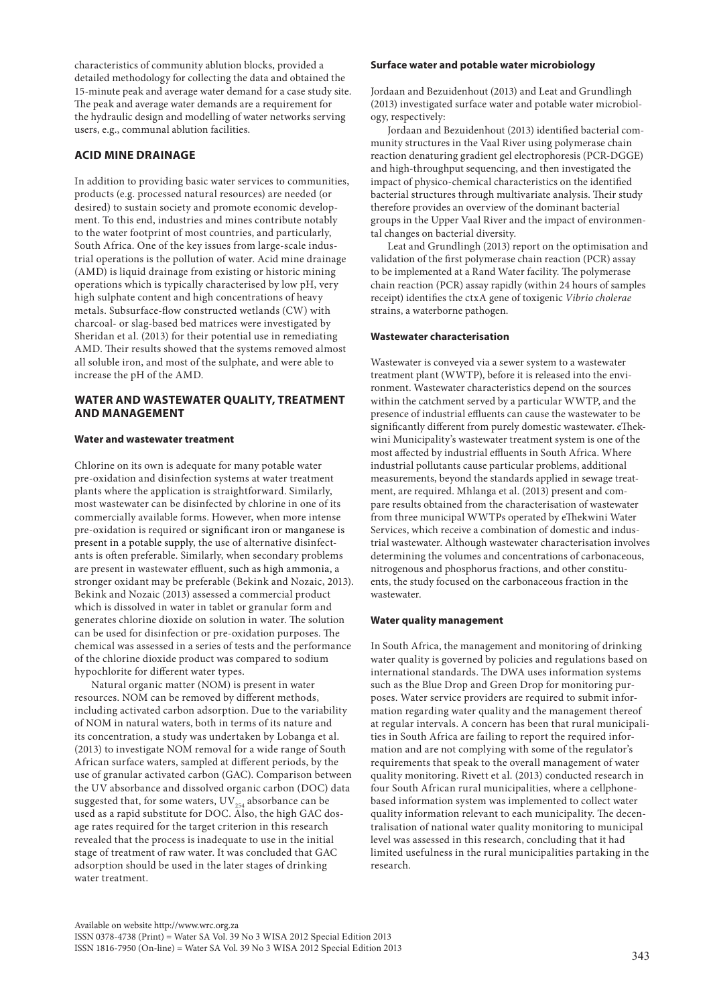characteristics of community ablution blocks, provided a detailed methodology for collecting the data and obtained the 15-minute peak and average water demand for a case study site. The peak and average water demands are a requirement for the hydraulic design and modelling of water networks serving users, e.g., communal ablution facilities.

# **ACID MINE DRAINAGE**

In addition to providing basic water services to communities, products (e.g. processed natural resources) are needed (or desired) to sustain society and promote economic development. To this end, industries and mines contribute notably to the water footprint of most countries, and particularly, South Africa. One of the key issues from large-scale industrial operations is the pollution of water. Acid mine drainage (AMD) is liquid drainage from existing or historic mining operations which is typically characterised by low pH, very high sulphate content and high concentrations of heavy metals. Subsurface-flow constructed wetlands (CW) with charcoal- or slag-based bed matrices were investigated by Sheridan et al. (2013) for their potential use in remediating AMD. Their results showed that the systems removed almost all soluble iron, and most of the sulphate, and were able to increase the pH of the AMD.

# **WATER AND WASTEWATER QUALITY, TREATMENT AND MANAGEMENT**

# **Water and wastewater treatment**

Chlorine on its own is adequate for many potable water pre-oxidation and disinfection systems at water treatment plants where the application is straightforward. Similarly, most wastewater can be disinfected by chlorine in one of its commercially available forms. However, when more intense pre-oxidation is required or significant iron or manganese is present in a potable supply, the use of alternative disinfectants is often preferable. Similarly, when secondary problems are present in wastewater effluent, such as high ammonia, a stronger oxidant may be preferable (Bekink and Nozaic, 2013). Bekink and Nozaic (2013) assessed a commercial product which is dissolved in water in tablet or granular form and generates chlorine dioxide on solution in water. The solution can be used for disinfection or pre-oxidation purposes. The chemical was assessed in a series of tests and the performance of the chlorine dioxide product was compared to sodium hypochlorite for different water types.

Natural organic matter (NOM) is present in water resources. NOM can be removed by different methods, including activated carbon adsorption. Due to the variability of NOM in natural waters, both in terms of its nature and its concentration, a study was undertaken by Lobanga et al. (2013) to investigate NOM removal for a wide range of South African surface waters, sampled at different periods, by the use of granular activated carbon (GAC). Comparison between the UV absorbance and dissolved organic carbon (DOC) data suggested that, for some waters,  $\mathrm{UV}_{_{254}}$  absorbance can be used as a rapid substitute for DOC. Also, the high GAC dosage rates required for the target criterion in this research revealed that the process is inadequate to use in the initial stage of treatment of raw water. It was concluded that GAC adsorption should be used in the later stages of drinking water treatment.

#### **Surface water and potable water microbiology**

Jordaan and Bezuidenhout (2013) and Leat and Grundlingh (2013) investigated surface water and potable water microbiology, respectively:

Jordaan and Bezuidenhout (2013) identified bacterial community structures in the Vaal River using polymerase chain reaction denaturing gradient gel electrophoresis (PCR-DGGE) and high-throughput sequencing, and then investigated the impact of physico-chemical characteristics on the identified bacterial structures through multivariate analysis. Their study therefore provides an overview of the dominant bacterial groups in the Upper Vaal River and the impact of environmental changes on bacterial diversity.

Leat and Grundlingh (2013) report on the optimisation and validation of the first polymerase chain reaction (PCR) assay to be implemented at a Rand Water facility. The polymerase chain reaction (PCR) assay rapidly (within 24 hours of samples receipt) identifies the ctxA gene of toxigenic *Vibrio cholerae* strains, a waterborne pathogen.

#### **Wastewater characterisation**

Wastewater is conveyed via a sewer system to a wastewater treatment plant (WWTP), before it is released into the environment. Wastewater characteristics depend on the sources within the catchment served by a particular WWTP, and the presence of industrial effluents can cause the wastewater to be significantly different from purely domestic wastewater. eThekwini Municipality's wastewater treatment system is one of the most affected by industrial effluents in South Africa. Where industrial pollutants cause particular problems, additional measurements, beyond the standards applied in sewage treatment, are required. Mhlanga et al. (2013) present and compare results obtained from the characterisation of wastewater from three municipal WWTPs operated by eThekwini Water Services, which receive a combination of domestic and industrial wastewater. Although wastewater characterisation involves determining the volumes and concentrations of carbonaceous, nitrogenous and phosphorus fractions, and other constituents, the study focused on the carbonaceous fraction in the wastewater.

### **Water quality management**

In South Africa, the management and monitoring of drinking water quality is governed by policies and regulations based on international standards. The DWA uses information systems such as the Blue Drop and Green Drop for monitoring purposes. Water service providers are required to submit information regarding water quality and the management thereof at regular intervals. A concern has been that rural municipalities in South Africa are failing to report the required information and are not complying with some of the regulator's requirements that speak to the overall management of water quality monitoring. Rivett et al. (2013) conducted research in four South African rural municipalities, where a cellphonebased information system was implemented to collect water quality information relevant to each municipality. The decentralisation of national water quality monitoring to municipal level was assessed in this research, concluding that it had limited usefulness in the rural municipalities partaking in the research.